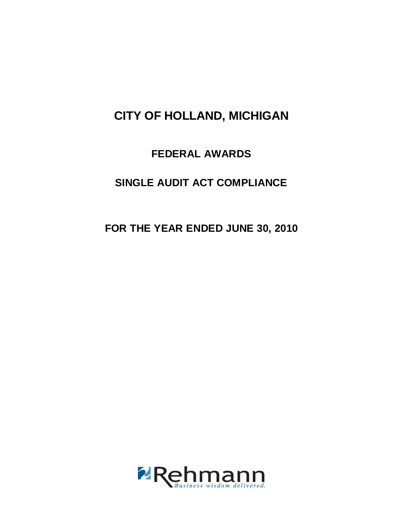## **FEDERAL AWARDS**

# **SINGLE AUDIT ACT COMPLIANCE**

**FOR THE YEAR ENDED JUNE 30, 2010** 

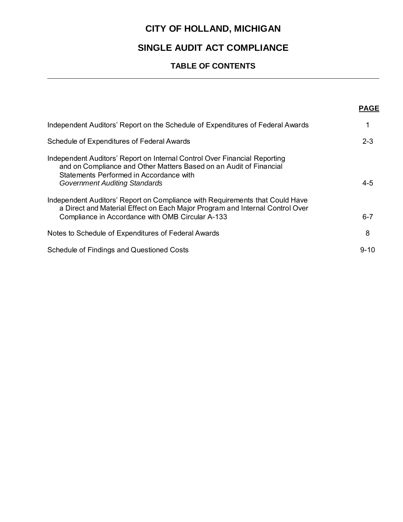## **SINGLE AUDIT ACT COMPLIANCE**

## **TABLE OF CONTENTS**

|                                                                                                                                                                                                                                    | <b>PAGE</b> |
|------------------------------------------------------------------------------------------------------------------------------------------------------------------------------------------------------------------------------------|-------------|
| Independent Auditors' Report on the Schedule of Expenditures of Federal Awards                                                                                                                                                     | 1           |
| Schedule of Expenditures of Federal Awards                                                                                                                                                                                         | $2 - 3$     |
| Independent Auditors' Report on Internal Control Over Financial Reporting<br>and on Compliance and Other Matters Based on an Audit of Financial<br>Statements Performed in Accordance with<br><b>Government Auditing Standards</b> | $4 - 5$     |
| Independent Auditors' Report on Compliance with Requirements that Could Have<br>a Direct and Material Effect on Each Major Program and Internal Control Over<br>Compliance in Accordance with OMB Circular A-133                   | $6 - 7$     |
| Notes to Schedule of Expenditures of Federal Awards                                                                                                                                                                                | 8           |
| Schedule of Findings and Questioned Costs                                                                                                                                                                                          | $9 - 10$    |
|                                                                                                                                                                                                                                    |             |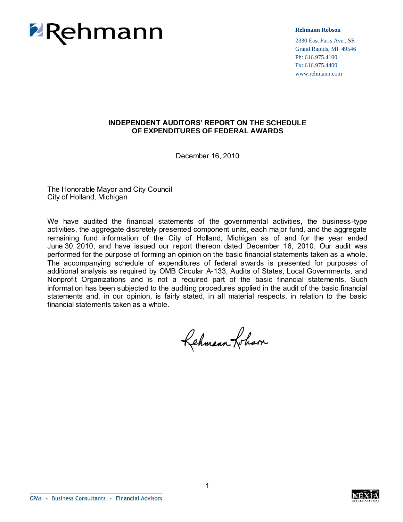

**Rehmann Robson**

2330 East Paris Ave., SE Grand Rapids, MI 49546 Ph: 616.975.4100 Fx: 616.975.4400 www.rehmann.com

### **INDEPENDENT AUDITORS' REPORT ON THE SCHEDULE OF EXPENDITURES OF FEDERAL AWARDS**

December 16, 2010

The Honorable Mayor and City Council City of Holland, Michigan

We have audited the financial statements of the governmental activities, the business-type activities, the aggregate discretely presented component units, each major fund, and the aggregate remaining fund information of the City of Holland, Michigan as of and for the year ended June 30, 2010, and have issued our report thereon dated December 16, 2010. Our audit was performed for the purpose of forming an opinion on the basic financial statements taken as a whole. The accompanying schedule of expenditures of federal awards is presented for purposes of additional analysis as required by OMB Circular A-133, Audits of States, Local Governments, and Nonprofit Organizations and is not a required part of the basic financial statements. Such information has been subjected to the auditing procedures applied in the audit of the basic financial statements and, in our opinion, is fairly stated, in all material respects, in relation to the basic financial statements taken as a whole.

Rehmann-Johan

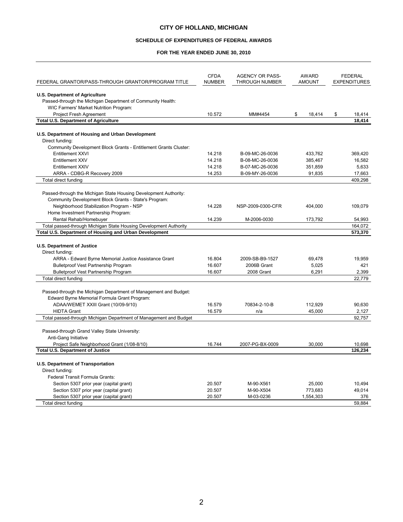#### **SCHEDULE OF EXPENDITURES OF FEDERAL AWARDS**

#### **FOR THE YEAR ENDED JUNE 30, 2010**

|                                                                   | <b>CFDA</b>   | <b>AGENCY OR PASS-</b> | <b>AWARD</b>  | <b>FEDERAL</b>      |
|-------------------------------------------------------------------|---------------|------------------------|---------------|---------------------|
| FEDERAL GRANTOR/PASS-THROUGH GRANTOR/PROGRAM TITLE                | <b>NUMBER</b> | THROUGH NUMBER         | <b>AMOUNT</b> | <b>EXPENDITURES</b> |
| <b>U.S. Department of Agriculture</b>                             |               |                        |               |                     |
| Passed-through the Michigan Department of Community Health:       |               |                        |               |                     |
| WIC Farmers' Market Nutrition Program:                            |               |                        |               |                     |
| <b>Project Fresh Agreement</b>                                    | 10.572        | MM#4454                | \$<br>18,414  | \$<br>18,414        |
| <b>Total U.S. Department of Agriculture</b>                       |               |                        |               | 18,414              |
|                                                                   |               |                        |               |                     |
| U.S. Department of Housing and Urban Development                  |               |                        |               |                     |
| Direct funding:                                                   |               |                        |               |                     |
| Community Development Block Grants - Entitlement Grants Cluster:  |               |                        |               |                     |
| Entitlement XXVI                                                  | 14.218        | B-09-MC-26-0036        | 433,762       | 369,420             |
| Entitlement XXV                                                   | 14.218        | B-08-MC-26-0036        | 385,467       | 16,582              |
| Entitlement XXIV                                                  | 14.218        | B-07-MC-26-0036        | 351,859       | 5,633               |
| ARRA - CDBG-R Recovery 2009                                       | 14.253        | B-09-MY-26-0036        | 91,835        | 17,663              |
| Total direct funding                                              |               |                        |               | 409,298             |
| Passed-through the Michigan State Housing Development Authority:  |               |                        |               |                     |
| Community Development Block Grants - State's Program:             |               |                        |               |                     |
| Neighborhood Stabilization Program - NSP                          | 14.228        | NSP-2009-0300-CFR      | 404,000       | 109,079             |
| Home Investment Partnership Program:                              |               |                        |               |                     |
| Rental Rehab/Homebuyer                                            | 14.239        | M-2006-0030            | 173,792       | 54.993              |
| Total passed-through Michigan State Housing Development Authority |               |                        |               | 164,072             |
| Total U.S. Department of Housing and Urban Development            |               |                        |               | 573,370             |
|                                                                   |               |                        |               |                     |
| <b>U.S. Department of Justice</b>                                 |               |                        |               |                     |
| Direct funding:                                                   |               |                        |               |                     |
| ARRA - Edward Byrne Memorial Justice Assistance Grant             | 16.804        | 2009-SB-B9-1527        | 69,478        | 19,959              |
| <b>Bulletproof Vest Partnership Program</b>                       | 16.607        | 2006B Grant            | 5,025         | 421                 |
| <b>Bulletproof Vest Partnership Program</b>                       | 16.607        | 2008 Grant             | 6,291         | 2,399               |
| Total direct funding                                              |               |                        |               | 22,779              |
|                                                                   |               |                        |               |                     |
| Passed-through the Michigan Department of Management and Budget:  |               |                        |               |                     |
| Edward Byrne Memorial Formula Grant Program:                      |               |                        |               |                     |
| ADAA/WEMET XXIII Grant (10/09-9/10)                               | 16.579        | 70834-2-10-B           | 112,929       | 90,630              |
| <b>HIDTA Grant</b>                                                | 16.579        | n/a                    | 45,000        | 2,127               |
| Total passed-through Michigan Department of Management and Budget |               |                        |               | 92,757              |
|                                                                   |               |                        |               |                     |
| Passed-through Grand Valley State University:                     |               |                        |               |                     |
| Anti-Gang Initiative                                              |               |                        |               |                     |
| Project Safe Neighborhood Grant (1/08-8/10)                       | 16.744        | 2007-PG-BX-0009        | 30,000        | 10,698              |
| <b>Total U.S. Department of Justice</b>                           |               |                        |               | 126,234             |
|                                                                   |               |                        |               |                     |
| U.S. Department of Transportation                                 |               |                        |               |                     |
| Direct funding:                                                   |               |                        |               |                     |
| Federal Transit Formula Grants:                                   |               |                        |               |                     |
| Section 5307 prior year (capital grant)                           | 20.507        | M-90-X561              | 25,000        | 10,494              |
| Section 5307 prior year (capital grant)                           | 20.507        | M-90-X504              | 773,683       | 49,014<br>376       |
| Section 5307 prior year (capital grant)<br>Total direct funding   | 20.507        | M-03-0236              | 1,554,303     | 59.884              |
|                                                                   |               |                        |               |                     |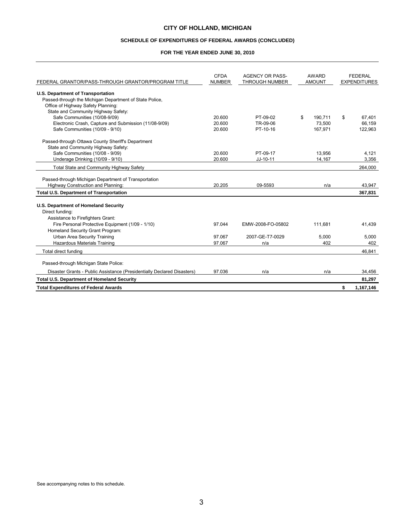#### **SCHEDULE OF EXPENDITURES OF FEDERAL AWARDS (CONCLUDED)**

#### **FOR THE YEAR ENDED JUNE 30, 2010**

| FEDERAL GRANTOR/PASS-THROUGH GRANTOR/PROGRAM TITLE                      | <b>CFDA</b><br><b>NUMBER</b> | <b>AGENCY OR PASS-</b><br>THROUGH NUMBER | AWARD<br><b>AMOUNT</b> | <b>FEDERAL</b><br><b>EXPENDITURES</b> |
|-------------------------------------------------------------------------|------------------------------|------------------------------------------|------------------------|---------------------------------------|
| <b>U.S. Department of Transportation</b>                                |                              |                                          |                        |                                       |
| Passed-through the Michigan Department of State Police,                 |                              |                                          |                        |                                       |
| Office of Highway Safety Planning:                                      |                              |                                          |                        |                                       |
| State and Community Highway Safety:                                     |                              |                                          |                        |                                       |
| Safe Communities (10/08-9/09)                                           | 20.600                       | PT-09-02                                 | \$<br>190.711          | \$<br>67.401                          |
| Electronic Crash, Capture and Submission (11/08-9/09)                   | 20.600                       | TR-09-06                                 | 73.500                 | 66.159                                |
| Safe Communities (10/09 - 9/10)                                         | 20.600                       | PT-10-16                                 | 167.971                | 122.963                               |
| Passed-through Ottawa County Sheriff's Department                       |                              |                                          |                        |                                       |
| State and Community Highway Safety:                                     |                              |                                          |                        |                                       |
| Safe Communities (10/08 - 9/09)                                         | 20.600                       | PT-09-17                                 | 13.956                 | 4,121                                 |
| Underage Drinking (10/09 - 9/10)                                        | 20.600                       | $JJ-10-11$                               | 14.167                 | 3,356                                 |
| Total State and Community Highway Safety                                |                              |                                          |                        | 264,000                               |
|                                                                         |                              |                                          |                        |                                       |
| Passed-through Michigan Department of Transportation                    |                              |                                          |                        |                                       |
| Highway Construction and Planning:                                      | 20.205                       | 09-5593                                  | n/a                    | 43.947                                |
| <b>Total U.S. Department of Transportation</b>                          |                              |                                          |                        | 367,831                               |
| U.S. Department of Homeland Security                                    |                              |                                          |                        |                                       |
| Direct funding:                                                         |                              |                                          |                        |                                       |
| Assistance to Firefighters Grant:                                       |                              |                                          |                        |                                       |
| Fire Personal Protective Equipment (1/09 - 1/10)                        | 97.044                       | EMW-2008-FO-05802                        | 111,681                | 41,439                                |
| Homeland Security Grant Program:                                        |                              |                                          |                        |                                       |
| Urban Area Security Training                                            | 97.067                       | 2007-GE-T7-0029                          | 5.000                  | 5.000                                 |
| Hazardous Materials Training                                            | 97.067                       | n/a                                      | 402                    | 402                                   |
| Total direct funding                                                    |                              |                                          |                        | 46,841                                |
| Passed-through Michigan State Police:                                   |                              |                                          |                        |                                       |
|                                                                         |                              |                                          |                        |                                       |
| Disaster Grants - Public Assistance (Presidentially Declared Disasters) | 97.036                       | n/a                                      | n/a                    | 34,456                                |
| Total U.S. Department of Homeland Security                              |                              |                                          |                        | 81,297                                |
| <b>Total Expenditures of Federal Awards</b>                             |                              |                                          |                        | \$<br>1,167,146                       |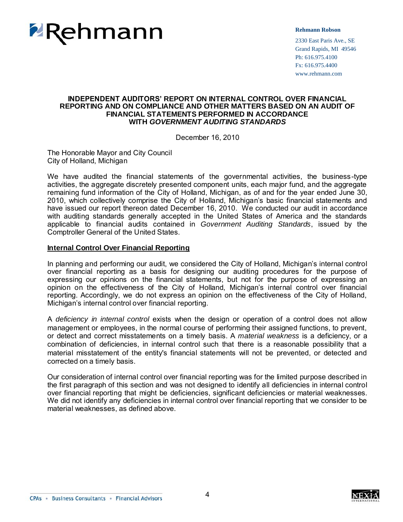

#### **Rehmann Robson**

2330 East Paris Ave., SE Grand Rapids, MI 49546 Ph: 616.975.4100 Fx: 616.975.4400 www.rehmann.com

#### **INDEPENDENT AUDITORS' REPORT ON INTERNAL CONTROL OVER FINANCIAL REPORTING AND ON COMPLIANCE AND OTHER MATTERS BASED ON AN AUDIT OF FINANCIAL STATEMENTS PERFORMED IN ACCORDANCE WITH** *GOVERNMENT AUDITING STANDARDS*

December 16, 2010

The Honorable Mayor and City Council City of Holland, Michigan

We have audited the financial statements of the governmental activities, the business-type activities, the aggregate discretely presented component units, each major fund, and the aggregate remaining fund information of the City of Holland, Michigan, as of and for the year ended June 30, 2010, which collectively comprise the City of Holland, Michigan's basic financial statements and have issued our report thereon dated December 16, 2010. We conducted our audit in accordance with auditing standards generally accepted in the United States of America and the standards applicable to financial audits contained in *Government Auditing Standards*, issued by the Comptroller General of the United States.

#### **Internal Control Over Financial Reporting**

In planning and performing our audit, we considered the City of Holland, Michigan's internal control over financial reporting as a basis for designing our auditing procedures for the purpose of expressing our opinions on the financial statements, but not for the purpose of expressing an opinion on the effectiveness of the City of Holland, Michigan's internal control over financial reporting. Accordingly, we do not express an opinion on the effectiveness of the City of Holland, Michigan's internal control over financial reporting.

A *deficiency in internal control* exists when the design or operation of a control does not allow management or employees, in the normal course of performing their assigned functions, to prevent, or detect and correct misstatements on a timely basis. A *material weakness* is a deficiency, or a combination of deficiencies, in internal control such that there is a reasonable possibility that a material misstatement of the entity's financial statements will not be prevented, or detected and corrected on a timely basis.

Our consideration of internal control over financial reporting was for the limited purpose described in the first paragraph of this section and was not designed to identify all deficiencies in internal control over financial reporting that might be deficiencies, significant deficiencies or material weaknesses. We did not identify any deficiencies in internal control over financial reporting that we consider to be material weaknesses, as defined above.

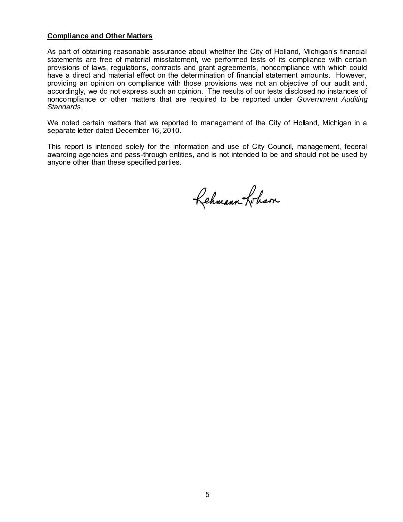#### **Compliance and Other Matters**

As part of obtaining reasonable assurance about whether the City of Holland, Michigan's financial statements are free of material misstatement, we performed tests of its compliance with certain provisions of laws, regulations, contracts and grant agreements, noncompliance with which could have a direct and material effect on the determination of financial statement amounts. However, providing an opinion on compliance with those provisions was not an objective of our audit and, accordingly, we do not express such an opinion. The results of our tests disclosed no instances of noncompliance or other matters that are required to be reported under *Government Auditing Standards*.

We noted certain matters that we reported to management of the City of Holland, Michigan in a separate letter dated December 16, 2010.

This report is intended solely for the information and use of City Council, management, federal awarding agencies and pass-through entities, and is not intended to be and should not be used by anyone other than these specified parties.

Rehmann Loham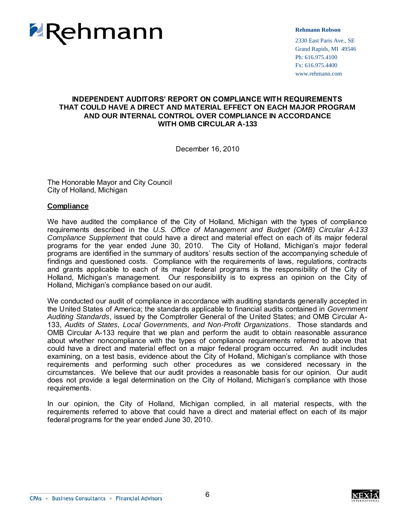

#### **Rehmann Robson**

2330 East Paris Ave., SE Grand Rapids, MI 49546 Ph: 616.975.4100 Fx: 616.975.4400 www.rehmann.com

### **INDEPENDENT AUDITORS' REPORT ON COMPLIANCE WITH REQUIREMENTS THAT COULD HAVE A DIRECT AND MATERIAL EFFECT ON EACH MAJOR PROGRAM AND OUR INTERNAL CONTROL OVER COMPLIANCE IN ACCORDANCE WITH OMB CIRCULAR A-133**

December 16, 2010

The Honorable Mayor and City Council City of Holland, Michigan

#### **Compliance**

We have audited the compliance of the City of Holland, Michigan with the types of compliance requirements described in the *U.S. Office of Management and Budget (OMB) Circular A-133 Compliance Supplement* that could have a direct and material effect on each of its major federal programs for the year ended June 30, 2010. The City of Holland, Michigan's major federal programs are identified in the summary of auditors' results section of the accompanying schedule of findings and questioned costs. Compliance with the requirements of laws, regulations, contracts and grants applicable to each of its major federal programs is the responsibility of the City of Holland, Michigan's management. Our responsibility is to express an opinion on the City of Holland, Michigan's compliance based on our audit.

We conducted our audit of compliance in accordance with auditing standards generally accepted in the United States of America; the standards applicable to financial audits contained in *Government Auditing Standards*, issued by the Comptroller General of the United States; and OMB Circular A-133, *Audits of States, Local Governments, and Non-Profit Organizations*. Those standards and OMB Circular A-133 require that we plan and perform the audit to obtain reasonable assurance about whether noncompliance with the types of compliance requirements referred to above that could have a direct and material effect on a major federal program occurred. An audit includes examining, on a test basis, evidence about the City of Holland, Michigan's compliance with those requirements and performing such other procedures as we considered necessary in the circumstances. We believe that our audit provides a reasonable basis for our opinion. Our audit does not provide a legal determination on the City of Holland, Michigan's compliance with those requirements.

In our opinion, the City of Holland, Michigan complied, in all material respects, with the requirements referred to above that could have a direct and material effect on each of its major federal programs for the year ended June 30, 2010.

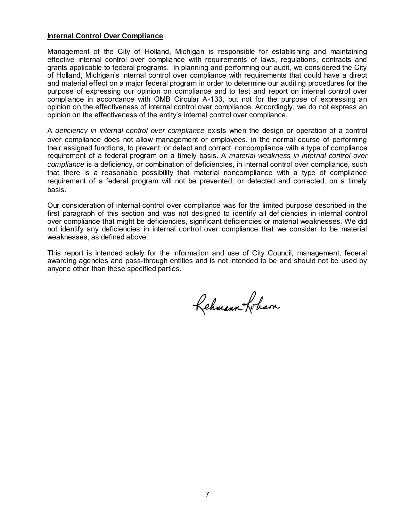#### **Internal Control Over Compliance**

Management of the City of Holland, Michigan is responsible for establishing and maintaining effective internal control over compliance with requirements of laws, regulations, contracts and grants applicable to federal programs. In planning and performing our audit, we considered the City of Holland, Michigan's internal control over compliance with requirements that could have a direct and material effect on a major federal program in order to determine our auditing procedures for the purpose of expressing our opinion on compliance and to test and report on internal control over compliance in accordance with OMB Circular A-133, but not for the purpose of expressing an opinion on the effectiveness of internal control over compliance. Accordingly, we do not express an opinion on the effectiveness of the entity's internal control over compliance.

A *deficiency in internal control over compliance* exists when the design or operation of a control over compliance does not allow management or employees, in the normal course of performing their assigned functions, to prevent, or detect and correct, noncompliance with a type of compliance requirement of a federal program on a timely basis. A *material weakness in internal control over compliance* is a deficiency, or combination of deficiencies, in internal control over compliance, such that there is a reasonable possibility that material noncompliance with a type of compliance requirement of a federal program will not be prevented, or detected and corrected, on a timely basis.

Our consideration of internal control over compliance was for the limited purpose described in the first paragraph of this section and was not designed to identify all deficiencies in internal control over compliance that might be deficiencies, significant deficiencies or material weaknesses. We did not identify any deficiencies in internal control over compliance that we consider to be material weaknesses, as defined above.

This report is intended solely for the information and use of City Council, management, federal awarding agencies and pass-through entities and is not intended to be and should not be used by anyone other than these specified parties.

Rehmann-Poham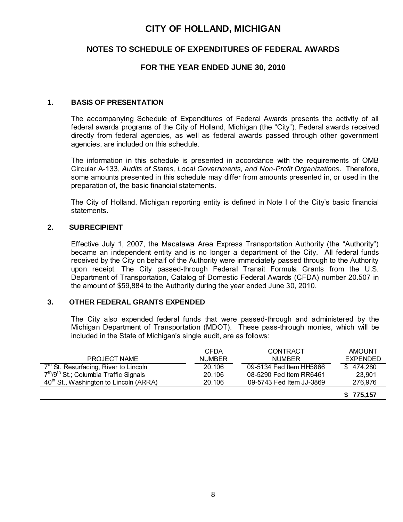## **NOTES TO SCHEDULE OF EXPENDITURES OF FEDERAL AWARDS**

### **FOR THE YEAR ENDED JUNE 30, 2010**

### **1. BASIS OF PRESENTATION**

The accompanying Schedule of Expenditures of Federal Awards presents the activity of all federal awards programs of the City of Holland, Michigan (the "City"). Federal awards received directly from federal agencies, as well as federal awards passed through other government agencies, are included on this schedule.

The information in this schedule is presented in accordance with the requirements of OMB Circular A-133, *Audits of States, Local Governments, and Non-Profit Organizations*. Therefore, some amounts presented in this schedule may differ from amounts presented in, or used in the preparation of, the basic financial statements.

The City of Holland, Michigan reporting entity is defined in Note I of the City's basic financial statements.

### **2. SUBRECIPIENT**

Effective July 1, 2007, the Macatawa Area Express Transportation Authority (the "Authority") became an independent entity and is no longer a department of the City. All federal funds received by the City on behalf of the Authority were immediately passed through to the Authority upon receipt. The City passed-through Federal Transit Formula Grants from the U.S. Department of Transportation, Catalog of Domestic Federal Awards (CFDA) number 20.507 in the amount of \$59,884 to the Authority during the year ended June 30, 2010.

## **3. OTHER FEDERAL GRANTS EXPENDED**

The City also expended federal funds that were passed-through and administered by the Michigan Department of Transportation (MDOT). These pass-through monies, which will be included in the State of Michigan's single audit, are as follows:

|                                                                | CFDA          | CONTRACT                 | <b>AMOUNT</b>   |
|----------------------------------------------------------------|---------------|--------------------------|-----------------|
| <b>PROJECT NAME</b>                                            | <b>NUMBER</b> | <b>NUMBER</b>            | <b>EXPENDED</b> |
| $7th$ St. Resurfacing, River to Lincoln                        | 20.106        | 09-5134 Fed Item HH5866  | \$474,280       |
| 7 <sup>th</sup> /9 <sup>th</sup> St.; Columbia Traffic Signals | 20.106        | 08-5290 Fed Item RR6461  | 23.901          |
| 40 <sup>th</sup> St., Washington to Lincoln (ARRA)             | 20.106        | 09-5743 Fed Item JJ-3869 | 276.976         |
|                                                                |               |                          | \$775,157       |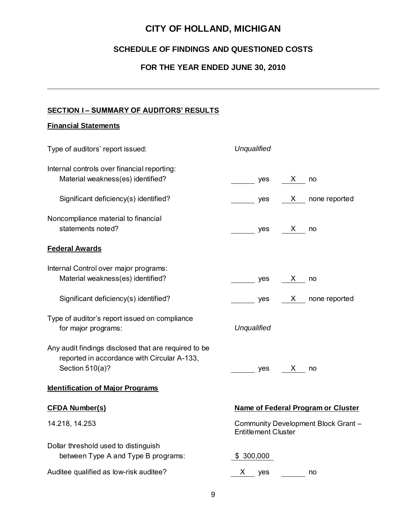## **SCHEDULE OF FINDINGS AND QUESTIONED COSTS**

## **FOR THE YEAR ENDED JUNE 30, 2010**

## **SECTION I – SUMMARY OF AUDITORS' RESULTS**

## **Financial Statements**

| Type of auditors' report issued:                                                                                                                                  | Unqualified                                                                                                                                                                                                                                                                                                                                                                                                                                                |  |  |
|-------------------------------------------------------------------------------------------------------------------------------------------------------------------|------------------------------------------------------------------------------------------------------------------------------------------------------------------------------------------------------------------------------------------------------------------------------------------------------------------------------------------------------------------------------------------------------------------------------------------------------------|--|--|
| Internal controls over financial reporting:<br>Material weakness(es) identified?                                                                                  | $\mathsf{X}$<br>yes<br>no                                                                                                                                                                                                                                                                                                                                                                                                                                  |  |  |
| Significant deficiency(s) identified?                                                                                                                             | $\mathsf{X}$ none reported<br>$\frac{1}{\sqrt{1-\frac{1}{2}}\sqrt{1-\frac{1}{2}}\sqrt{1-\frac{1}{2}}\sqrt{1-\frac{1}{2}}\sqrt{1-\frac{1}{2}}\sqrt{1-\frac{1}{2}}\sqrt{1-\frac{1}{2}}\sqrt{1-\frac{1}{2}}\sqrt{1-\frac{1}{2}}\sqrt{1-\frac{1}{2}}\sqrt{1-\frac{1}{2}}\sqrt{1-\frac{1}{2}}\sqrt{1-\frac{1}{2}}\sqrt{1-\frac{1}{2}}\sqrt{1-\frac{1}{2}}\sqrt{1-\frac{1}{2}}\sqrt{1-\frac{1}{2}}\sqrt{1-\frac{1}{2}}\sqrt{1-\frac{1}{2}}\sqrt{1-\frac$         |  |  |
| Noncompliance material to financial<br>statements noted?                                                                                                          | $\frac{1}{\sqrt{1-\frac{1}{2}}}\cos \frac{1}{2}x$ no                                                                                                                                                                                                                                                                                                                                                                                                       |  |  |
| <b>Federal Awards</b>                                                                                                                                             |                                                                                                                                                                                                                                                                                                                                                                                                                                                            |  |  |
| Internal Control over major programs:<br>Material weakness(es) identified?                                                                                        | $\frac{1}{\sqrt{1-\frac{1}{2}}}\cos \frac{X}{1-\cos \frac{X}{1-\cos \frac{X}{1-\cos \frac{X}{1-\cos \frac{X}{1-\cos \frac{X}{1-\cos \frac{X}{1-\cos \frac{X}{1-\cos \frac{X}{1-\cos \frac{X}{1-\cos \frac{X}{1-\cos \frac{X}{1-\cos \frac{X}{1-\cos \frac{X}{1-\cos \frac{X}{1-\cos \frac{X}{1-\cos \frac{X}{1-\cos \frac{X}{1-\cos \frac{X}{1-\cos \frac{X}{1-\cos \frac{X}{1-\cos \frac{X}{1-\cos \frac{X}{1-\cos \frac{X}{1-\cos \frac{X}{1-\cos \frac$ |  |  |
| Significant deficiency(s) identified?                                                                                                                             | yes X none reported                                                                                                                                                                                                                                                                                                                                                                                                                                        |  |  |
| Type of auditor's report issued on compliance<br>for major programs:                                                                                              | Unqualified                                                                                                                                                                                                                                                                                                                                                                                                                                                |  |  |
| Any audit findings disclosed that are required to be<br>reported in accordance with Circular A-133,<br>Section 510(a)?<br><b>Identification of Major Programs</b> | X no<br>yes                                                                                                                                                                                                                                                                                                                                                                                                                                                |  |  |
| <b>CFDA Number(s)</b>                                                                                                                                             | Name of Federal Program or Cluster                                                                                                                                                                                                                                                                                                                                                                                                                         |  |  |
| 14.218, 14.253                                                                                                                                                    | Community Development Block Grant -<br><b>Entitlement Cluster</b>                                                                                                                                                                                                                                                                                                                                                                                          |  |  |
| Dollar threshold used to distinguish<br>between Type A and Type B programs:                                                                                       | \$300,000                                                                                                                                                                                                                                                                                                                                                                                                                                                  |  |  |
| Auditee qualified as low-risk auditee?                                                                                                                            | X —<br>yes<br>no                                                                                                                                                                                                                                                                                                                                                                                                                                           |  |  |